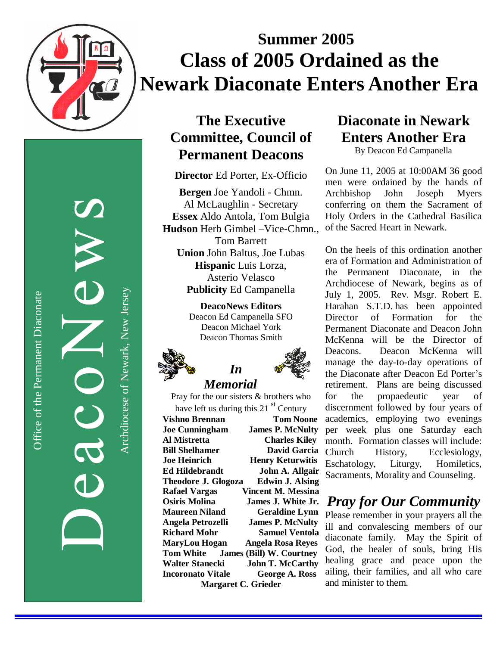

# **Summer 2005 Class of 2005 Ordained as the Newark Diaconate Enters Another Era**

Office of the Permanent Diaconate Office of the Permanent Diaconate

Archdiocese of Newark, New JerseyArchdiocese of Newark, New Jersey

### The Executive **Committee, Council of Permanent Deacons**

Director Ed Porter, Ex-Officio

Bergen Joe Yandoli - Chmn. Al McLaughlin - Secretary Essex Aldo Antola, Tom Bulgia Hudson Herb Gimbel -Vice-Chmn., Tom Barrett Union John Baltus, Joe Lubas Hispanic Luis Lorza, Asterio Velasco Publicity Ed Campanella

> **DeacoNews Editors** Deacon Ed Campanella SFO Deacon Michael York Deacon Thomas Smith





### Pray for the our sisters & brothers who have left us during this 21 st Century

**Vishno Brennan Joe Cunningham** Al Mistretta **Bill Shelhamer Joe Heinrich** Ed Hildebrandt **Theodore J. Glogoza Rafael Vargas Osiris Molina Maureen Niland** Angela Petrozelli **Richard Mohr MaryLou Hogan T o m W h i t e** Walter Stanecki **Incoronato Vitale Margaret C. Grieder** 

**Tom Noone James P. McNulty Charles Kiley David Garcia** Church **Henry Keturwitis John A. Allgair** Edwin J. Alsing Vincent M. Messina **James J. White Jr.** Geraldine Lynn **James P. McNulty Samuel Ventola** Angela Rosa Reyes **James (Bill) W. Courtney John T. McCarthy George A. Ross** 

## **Diaconate in Newark** Enters Another Era

By Deacon Ed Campanella

On June 11, 2005 at 10:00 AM 36 good men were ordained by the hands of Archbishop J o h n **Joseph** Myers conferring on them the Sacrament of Holy Orders in the Cathedral Basilica of the Sacred Heart in Newark.

On the heels of this ordination another era of Formation and Administration of the Permanent Diaconate, in the Archdiocese of Newark, begins as of July 1, 2005. Rev. Msgr. Robert E. Harahan S.T.D. has been appointed Director o f Formation fo r t h e Permanent Diaconate and Deacon John McKenna will be the Director of Deacons. Deacon McKenna will manage the day-to-day operations of the Diaconate after Deacon Ed Porter's retirement. Plans are being discussed fo r t h e propaedeutic year o f discernment followed by four years of academics, employing two evenings per week plus one Saturday each month. Formation classes will include: History, Ecclesiology, Eschatology, Liturgy, Homiletics, Sacraments, Morality and Counseling.

## *Pray for Our Community*

Please remember in your prayers all the ill and convalescing members of our diaconate family. May the Spirit of God, the healer of souls, bring His healing grace and peace upon the ailing, their families, and all who care and minister to them.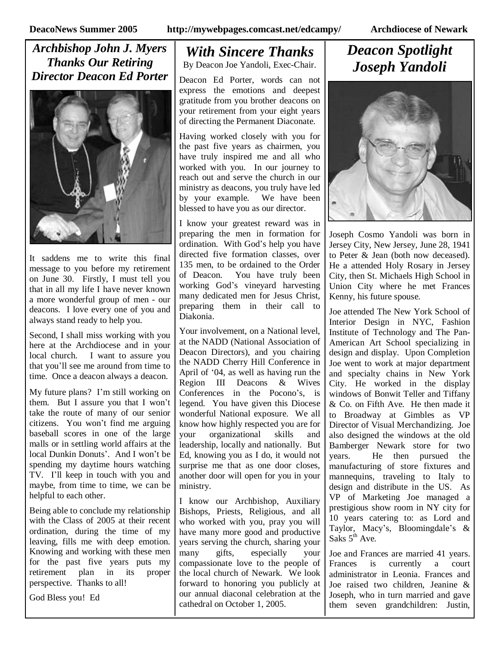*Archbishop John J. Myers Thanks Our Retiring Director Deacon Ed Porter*



It saddens me to write this final message to you before my retirement on June 30. Firstly, I must tell you that in all my life I have never known a more wonderful group of men - our deacons. I love every one of you and always stand ready to help you.

Second, I shall miss working with you here at the Archdiocese and in your local church. I want to assure you that you'll see me around from time to time. Once a deacon always a deacon.

My future plans? I'm still working on them. But I assure you that I won't take the route of many of our senior citizens. You won't find me arguing baseball scores in one of the large malls or in settling world affairs at the local Dunkin Donuts'. And I won't be spending my daytime hours watching TV. I'll keep in touch with you and maybe, from time to time, we can be helpful to each other.

Being able to conclude my relationship with the Class of 2005 at their recent ordination, during the time of my leaving, fills me with deep emotion. Knowing and working with these men for the past five years puts my retirement plan in its proper perspective. Thanks to all!

God Bless you! Ed

# *With Sincere Thanks*

By Deacon Joe Yandoli, Exec-Chair.

Deacon Ed Porter, words can not express the emotions and deepest gratitude from you brother deacons on your retirement from your eight years of directing the Permanent Diaconate.

Having worked closely with you for the past five years as chairmen, you have truly inspired me and all who worked with you. In our journey to reach out and serve the church in our ministry as deacons, you truly have led by your example. We have been blessed to have you as our director.

I know your greatest reward was in preparing the men in formation for ordination. With God's help you have directed five formation classes, over 135 men, to be ordained to the Order of Deacon. You have truly been working God's vineyard harvesting many dedicated men for Jesus Christ, preparing them in their call to Diakonia.

Your involvement, on a National level, at the NADD (National Association of Deacon Directors), and you chairing the NADD Cherry Hill Conference in April of '04, as well as having run the Region III Deacons & Wives Conferences in the Pocono's, is legend. You have given this Diocese wonderful National exposure. We all know how highly respected you are for your organizational skills and leadership, locally and nationally. But Ed, knowing you as I do, it would not surprise me that as one door closes, another door will open for you in your ministry.

I know our Archbishop, Auxiliary Bishops, Priests, Religious, and all who worked with you, pray you will have many more good and productive years serving the church, sharing your many gifts, especially your compassionate love to the people of the local church of Newark. We look forward to honoring you publicly at our annual diaconal celebration at the cathedral on October 1, 2005.

### *Deacon Spotlight Joseph Yandoli*



Joseph Cosmo Yandoli was born in Jersey City, New Jersey, June 28, 1941 to Peter & Jean (both now deceased). He a attended Holy Rosary in Jersey City, then St. Michaels High School in Union City where he met Frances Kenny, his future spouse.

Joe attended The New York School of Interior Design in NYC, Fashion Institute of Technology and The Pan-American Art School specializing in design and display. Upon Completion Joe went to work at major department and specialty chains in New York City. He worked in the display windows of Bonwit Teller and Tiffany & Co. on Fifth Ave. He then made it to Broadway at Gimbles as VP Director of Visual Merchandizing. Joe also designed the windows at the old Bamberger Newark store for two years. He then pursued the manufacturing of store fixtures and mannequins, traveling to Italy to design and distribute in the US. As VP of Marketing Joe managed a prestigious show room in NY city for 10 years catering to: as Lord and Taylor, Macy's, Bloomingdale's & Saks  $5<sup>th</sup>$  Ave.

Joe and Frances are married 41 years. Frances is currently a court administrator in Leonia. Frances and Joe raised two children, Jeanine & Joseph, who in turn married and gave them seven grandchildren: Justin,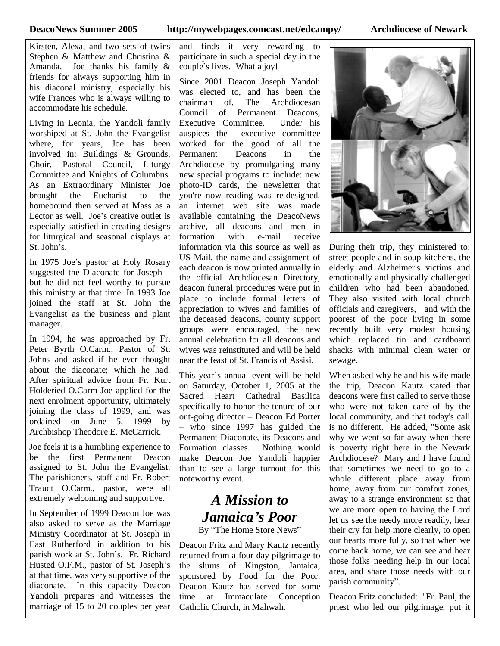Kirsten, Alexa, and two sets of twins Stephen & Matthew and Christina & Amanda. Joe thanks his family & friends for always supporting him in his diaconal ministry, especially his wife Frances who is always willing to accommodate his schedule.

Living in Leonia, the Yandoli family worshiped at St. John the Evangelist where, for years, Joe has been involved in: Buildings & Grounds, Choir, Pastoral Council, Liturgy Committee and Knights of Columbus. As an Extraordinary Minister Joe brought the Eucharist to the homebound then served at Mass as a Lector as well. Joe's creative outlet is especially satisfied in creating designs for liturgical and seasonal displays at St. John's.

In 1975 Joe's pastor at Holy Rosary suggested the Diaconate for Joseph – but he did not feel worthy to pursue this ministry at that time. In 1993 Joe joined the staff at St. John the Evangelist as the business and plant manager.

In 1994, he was approached by Fr. Peter Byrth O.Carm., Pastor of St. Johns and asked if he ever thought about the diaconate; which he had. After spiritual advice from Fr. Kurt Holderied O.Carm Joe applied for the next enrolment opportunity, ultimately joining the class of 1999, and was ordained on June 5, 1999 by Archbishop Theodore E. McCarrick.

Joe feels it is a humbling experience to be the first Permanent Deacon assigned to St. John the Evangelist. The parishioners, staff and Fr. Robert Traudt O.Carm., pastor, were all extremely welcoming and supportive.

In September of 1999 Deacon Joe was also asked to serve as the Marriage Ministry Coordinator at St. Joseph in East Rutherford in addition to his parish work at St. John's. Fr. Richard Husted O.F.M., pastor of St. Joseph's at that time, was very supportive of the diaconate. In this capacity Deacon Yandoli prepares and witnesses the marriage of 15 to 20 couples per year and finds it very rewarding to participate in such a special day in the couple's lives. What a joy!

Since 2001 Deacon Joseph Yandoli was elected to, and has been the chairman of, The Archdiocesan Council of Permanent Deacons, Executive Committee. Under his auspices the executive committee worked for the good of all the Permanent Deacons in the Archdiocese by promulgating many new special programs to include: new photo-ID cards, the newsletter that you're now reading was re-designed, an internet web site was made available containing the DeacoNews archive, all deacons and men in formation with e-mail receive information via this source as well as US Mail, the name and assignment of each deacon is now printed annually in the official Archdiocesan Directory, deacon funeral procedures were put in place to include formal letters of appreciation to wives and families of the deceased deacons, county support groups were encouraged, the new annual celebration for all deacons and wives was reinstituted and will be held near the feast of St. Francis of Assisi.

This year's annual event will be held on Saturday, October 1, 2005 at the Sacred Heart Cathedral Basilica specifically to honor the tenure of our out-going director –Deacon Ed Porter – who since 1997 has guided the Permanent Diaconate, its Deacons and Formation classes. Nothing would make Deacon Joe Yandoli happier than to see a large turnout for this noteworthy event.

### *A Mission to Jamaica's Poor*

By "The Home Store News"

Deacon Fritz and Mary Kautz recently returned from a four day pilgrimage to the slums of Kingston, Jamaica, sponsored by Food for the Poor. Deacon Kautz has served for some time at Immaculate Conception Catholic Church, in Mahwah.



During their trip, they ministered to: street people and in soup kitchens, the elderly and Alzheimer's victims and emotionally and physically challenged children who had been abandoned. They also visited with local church officials and caregivers, and with the poorest of the poor living in some recently built very modest housing which replaced tin and cardboard shacks with minimal clean water or sewage.

When asked why he and his wife made the trip, Deacon Kautz stated that deacons were first called to serve those who were not taken care of by the local community, and that today's call is no different. He added, "Some ask why we went so far away when there is poverty right here in the Newark Archdiocese? Mary and I have found that sometimes we need to go to a whole different place away from home, away from our comfort zones, away to a strange environment so that we are more open to having the Lord let us see the needy more readily, hear their cry for help more clearly, to open our hearts more fully, so that when we come back home, we can see and hear those folks needing help in our local area, and share those needs with our parish community".

Deacon Fritz concluded: "Fr. Paul, the priest who led our pilgrimage, put it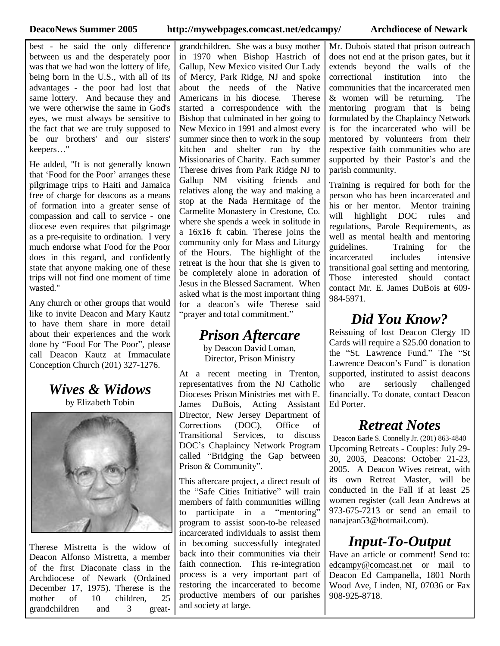best - he said the only difference between us and the desperately poor was that we had won the lottery of life, being born in the U.S., with all of its advantages - the poor had lost that same lottery. And because they and we were otherwise the same in God's eyes, we must always be sensitive to the fact that we are truly supposed to be our brothers' and our sisters' keepers…"

He added, "It is not generally known that 'Food for the Poor'arranges these pilgrimage trips to Haiti and Jamaica free of charge for deacons as a means of formation into a greater sense of compassion and call to service - one diocese even requires that pilgrimage as a pre-requisite to ordination. I very much endorse what Food for the Poor does in this regard, and confidently state that anyone making one of these trips will not find one moment of time wasted."

Any church or other groups that would like to invite Deacon and Mary Kautz to have them share in more detail about their experiences and the work done by "Food For The Poor", please call Deacon Kautz at Immaculate Conception Church (201) 327-1276.

### *Wives & Widows*

by Elizabeth Tobin



Therese Mistretta is the widow of Deacon Alfonso Mistretta, a member of the first Diaconate class in the Archdiocese of Newark (Ordained December 17, 1975). Therese is the mother of 10 children, 25 grandchildren and 3 great-

grandchildren. She was a busy mother in 1970 when Bishop Hastrich of Gallup, New Mexico visited Our Lady of Mercy, Park Ridge, NJ and spoke about the needs of the Native Americans in his diocese. Therese started a correspondence with the Bishop that culminated in her going to New Mexico in 1991 and almost every summer since then to work in the soup kitchen and shelter run by the Missionaries of Charity. Each summer Therese drives from Park Ridge NJ to Gallup NM visiting friends and relatives along the way and making a stop at the Nada Hermitage of the Carmelite Monastery in Crestone, Co. where she spends a week in solitude in a 16x16 ft cabin. Therese joins the community only for Mass and Liturgy of the Hours. The highlight of the retreat is the hour that she is given to be completely alone in adoration of Jesus in the Blessed Sacrament. When asked what is the most important thing for a deacon's wife Therese said "prayer and total commitment."

### *Prison Aftercare*

by Deacon David Loman, Director, Prison Ministry

At a recent meeting in Trenton, representatives from the NJ Catholic Dioceses Prison Ministries met with E. James DuBois, Acting Assistant Director, New Jersey Department of Corrections (DOC), Office of Transitional Services, to discuss DOC's Chaplaincy Network Program called "Bridging the Gap between Prison & Community".

This aftercare project, a direct result of the "Safe Cities Initiative" will train members of faith communities willing to participate in a "mentoring" program to assist soon-to-be released incarcerated individuals to assist them in becoming successfully integrated back into their communities via their faith connection. This re-integration process is a very important part of restoring the incarcerated to become productive members of our parishes and society at large.

Mr. Dubois stated that prison outreach does not end at the prison gates, but it extends beyond the walls of the correctional institution into the communities that the incarcerated men & women will be returning. The mentoring program that is being formulated by the Chaplaincy Network is for the incarcerated who will be mentored by volunteers from their respective faith communities who are supported by their Pastor's and the parish community.

Training is required for both for the person who has been incarcerated and his or her mentor. Mentor training will highlight DOC rules and regulations, Parole Requirements, as well as mental health and mentoring guidelines. Training for the incarcerated includes intensive transitional goal setting and mentoring. Those interested should contact contact Mr. E. James DuBois at 609- 984-5971.

### *Did You Know?*

Reissuing of lost Deacon Clergy ID Cards will require a \$25.00 donation to the "St. Lawrence Fund."The "St Lawrence Deacon's Fund" is donation supported, instituted to assist deacons who are seriously challenged financially. To donate, contact Deacon Ed Porter.

### *Retreat Notes*

Deacon Earle S. Connelly Jr. (201) 863-4840 Upcoming Retreats - Couples: July 29- 30, 2005, Deacons: October 21-23, 2005. A Deacon Wives retreat, with its own Retreat Master, will be conducted in the Fall if at least 25 women register (call Jean Andrews at 973-675-7213 or send an email to nanajean53@hotmail.com).

### *Input-To-Output*

Have an article or comment! Send to: edcampy@comcast.net or mail to Deacon Ed Campanella, 1801 North Wood Ave, Linden, NJ, 07036 or Fax 908-925-8718.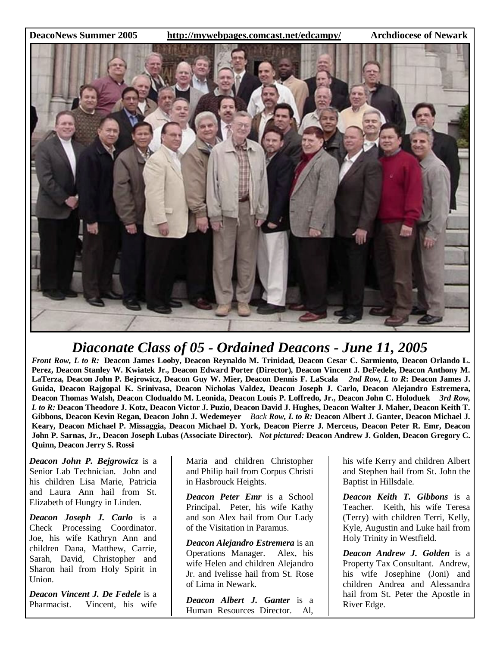**DeacoNews Summer 2005 http://mywebpages.comcast.net/edcampy/ Archdiocese of Newark**



### *Diaconate Class of 05 - Ordained Deacons - June 11, 2005*

Front Row, L to R: Deacon James Looby, Deacon Reynaldo M. Trinidad, Deacon Cesar C. Sarmiento, Deacon Orlando L. Perez, Deacon Stanley W. Kwiatek Jr., Deacon Edward Porter (Director), Deacon Vincent J. DeFedele, Deacon Anthony M. LaTerza, Deacon John P. Bejrowicz, Deacon Guy W. Mier, Deacon Dennis F. LaScala 2nd Row, L to R: Deacon James J. **Guida, Deacon Rajgopal K. Srinivasa, Deacon Nicholas Valdez, Deacon Joseph J. Carlo, Deacon Alejandro Estremera,** Deacon Thomas Walsh, Deacon Clodualdo M. Leonida, Deacon Louis P. Loffredo, Jr., Deacon John C. Holoduek 3rd Row, L to R: Deacon Theodore J. Kotz, Deacon Victor J. Puzio, Deacon David J. Hughes, Deacon Walter J. Maher, Deacon Keith T. Gibbons, Deacon Kevin Regan, Deacon John J. Wedemeyer Back Row, L to R: Deacon Albert J. Ganter, Deacon Michael J. Keary, Deacon Michael P. Missaggia, Deacon Michael D. York, Deacon Pierre J. Merceus, Deacon Peter R. Emr, Deacon John P. Sarnas, Jr., Deacon Joseph Lubas (Associate Director). Not pictured: Deacon Andrew J. Golden, Deacon Gregory C. **Quinn, Deacon Jerry S. Rossi**

*Deacon John P. Bejgrowicz* is a Senior Lab Technician. John and his children Lisa Marie, Patricia and Laura Ann hail from St. Elizabeth of Hungry in Linden.

*Deacon Joseph J. Carlo* is a Check Processing Coordinator. Joe, his wife Kathryn Ann and children Dana, Matthew, Carrie, Sarah, David, Christopher and Sharon hail from Holy Spirit in Union.

*Deacon Vincent J. De Fedele* is a Pharmacist. Vincent, his wife Maria and children Christopher and Philip hail from Corpus Christi in Hasbrouck Heights.

*Deacon Peter Emr* is a School Principal. Peter, his wife Kathy and son Alex hail from Our Lady of the Visitation in Paramus.

*Deacon Alejandro Estremera* is an Operations Manager. Alex, his wife Helen and children Alejandro Jr. and Ivelisse hail from St. Rose of Lima in Newark.

*Deacon Albert J. Ganter* is a Human Resources Director. Al,

his wife Kerry and children Albert and Stephen hail from St. John the Baptist in Hillsdale.

*Deacon Keith T. Gibbons* is a Teacher. Keith, his wife Teresa (Terry) with children Terri, Kelly, Kyle, Augustin and Luke hail from Holy Trinity in Westfield.

*Deacon Andrew J. Golden* is a Property Tax Consultant. Andrew, his wife Josephine (Joni) and children Andrea and Alessandra hail from St. Peter the Apostle in River Edge.